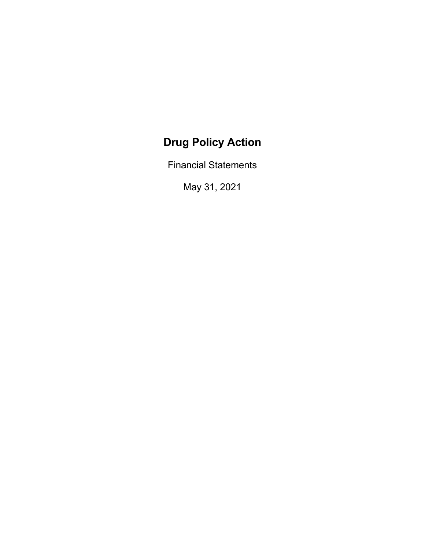Financial Statements

May 31, 2021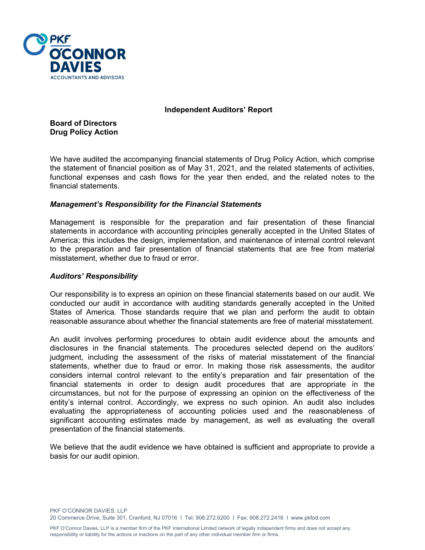

#### **Independent Auditors' Report**

**Board of Directors Drug Policy Action** 

We have audited the accompanying financial statements of Drug Policy Action, which comprise the statement of financial position as of May 31, 2021, and the related statements of activities, functional expenses and cash flows for the year then ended, and the related notes to the financial statements.

## *Management's Responsibility for the Financial Statements*

Management is responsible for the preparation and fair presentation of these financial statements in accordance with accounting principles generally accepted in the United States of America; this includes the design, implementation, and maintenance of internal control relevant to the preparation and fair presentation of financial statements that are free from material misstatement, whether due to fraud or error.

#### *Auditors' Responsibility*

Our responsibility is to express an opinion on these financial statements based on our audit. We conducted our audit in accordance with auditing standards generally accepted in the United States of America. Those standards require that we plan and perform the audit to obtain reasonable assurance about whether the financial statements are free of material misstatement.

An audit involves performing procedures to obtain audit evidence about the amounts and disclosures in the financial statements. The procedures selected depend on the auditors' judgment, including the assessment of the risks of material misstatement of the financial statements, whether due to fraud or error. In making those risk assessments, the auditor considers internal control relevant to the entity's preparation and fair presentation of the financial statements in order to design audit procedures that are appropriate in the circumstances, but not for the purpose of expressing an opinion on the effectiveness of the entity's internal control. Accordingly, we express no such opinion. An audit also includes evaluating the appropriateness of accounting policies used and the reasonableness of significant accounting estimates made by management, as well as evaluating the overall presentation of the financial statements.

We believe that the audit evidence we have obtained is sufficient and appropriate to provide a basis for our audit opinion.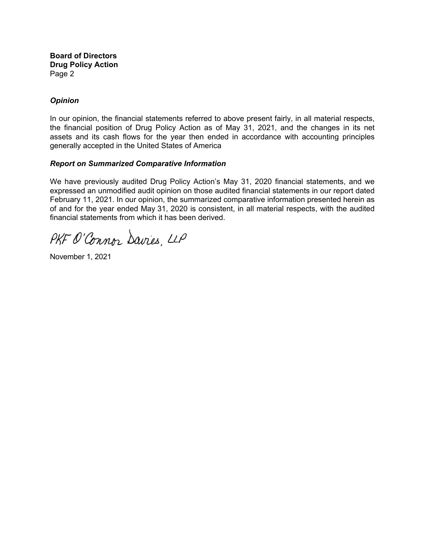**Board of Directors Drug Policy Action**  Page 2

## *Opinion*

In our opinion, the financial statements referred to above present fairly, in all material respects, the financial position of Drug Policy Action as of May 31, 2021, and the changes in its net assets and its cash flows for the year then ended in accordance with accounting principles generally accepted in the United States of America

#### *Report on Summarized Comparative Information*

We have previously audited Drug Policy Action's May 31, 2020 financial statements, and we expressed an unmodified audit opinion on those audited financial statements in our report dated February 11, 2021. In our opinion, the summarized comparative information presented herein as of and for the year ended May 31, 2020 is consistent, in all material respects, with the audited financial statements from which it has been derived.

PKF O'Connor Davies, LLP

November 1, 2021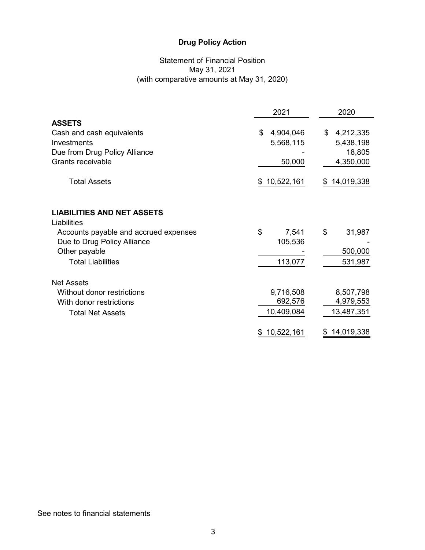# Statement of Financial Position May 31, 2021 (with comparative amounts at May 31, 2020)

|                                                      | 2021            | 2020                |
|------------------------------------------------------|-----------------|---------------------|
| <b>ASSETS</b><br>Cash and cash equivalents           | 4,904,046<br>\$ | 4,212,335<br>\$     |
| Investments                                          | 5,568,115       | 5,438,198           |
| Due from Drug Policy Alliance<br>Grants receivable   | 50,000          | 18,805<br>4,350,000 |
| <b>Total Assets</b>                                  | \$10,522,161    | \$14,019,338        |
| <b>LIABILITIES AND NET ASSETS</b>                    |                 |                     |
| Liabilities<br>Accounts payable and accrued expenses | \$<br>7,541     | \$<br>31,987        |
| Due to Drug Policy Alliance                          | 105,536         |                     |
| Other payable                                        |                 | 500,000             |
| <b>Total Liabilities</b>                             | 113,077         | 531,987             |
| <b>Net Assets</b>                                    |                 |                     |
| Without donor restrictions                           | 9,716,508       | 8,507,798           |
| With donor restrictions                              | 692,576         | 4,979,553           |
| <b>Total Net Assets</b>                              | 10,409,084      | 13,487,351          |
|                                                      | 10,522,161      | 14,019,338<br>\$    |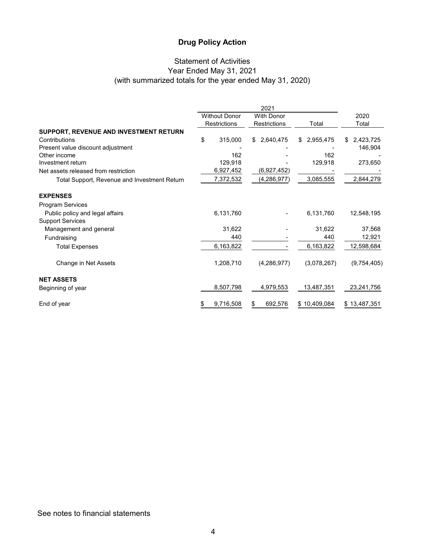# Statement of Activities Year Ended May 31, 2021 (with summarized totals for the year ended May 31, 2020)

|                                              | <b>Without Donor</b> |              | <b>With Donor</b> |                 | 2020            |
|----------------------------------------------|----------------------|--------------|-------------------|-----------------|-----------------|
|                                              |                      | Restrictions | Restrictions      | Total           | Total           |
| SUPPORT, REVENUE AND INVESTMENT RETURN       |                      |              |                   |                 |                 |
| Contributions                                | \$                   | 315,000      | 2,640,475<br>\$   | 2,955,475<br>\$ | 2,423,725<br>\$ |
| Present value discount adjustment            |                      |              |                   |                 | 146,904         |
| Other income                                 |                      | 162          |                   | 162             |                 |
| Investment return                            |                      | 129,918      |                   | 129,918         | 273,650         |
| Net assets released from restriction         |                      | 6,927,452    | (6,927,452)       |                 |                 |
| Total Support, Revenue and Investment Return |                      | 7,372,532    | (4, 286, 977)     | 3,085,555       | 2,844,279       |
| <b>EXPENSES</b>                              |                      |              |                   |                 |                 |
| <b>Program Services</b>                      |                      |              |                   |                 |                 |
| Public policy and legal affairs              |                      | 6,131,760    |                   | 6,131,760       | 12,548,195      |
| <b>Support Services</b>                      |                      |              |                   |                 |                 |
| Management and general                       |                      | 31,622       |                   | 31,622          | 37,568          |
| Fundraising                                  |                      | 440          |                   | 440             | 12,921          |
| <b>Total Expenses</b>                        |                      | 6,163,822    |                   | 6,163,822       | 12,598,684      |
| Change in Net Assets                         |                      | 1,208,710    | (4,286,977)       | (3,078,267)     | (9,754,405)     |
| <b>NET ASSETS</b>                            |                      |              |                   |                 |                 |
| Beginning of year                            |                      | 8,507,798    | 4,979,553         | 13,487,351      | 23, 241, 756    |
| End of year                                  | \$                   | 9,716,508    | 692,576<br>\$     | \$10,409,084    | \$13,487,351    |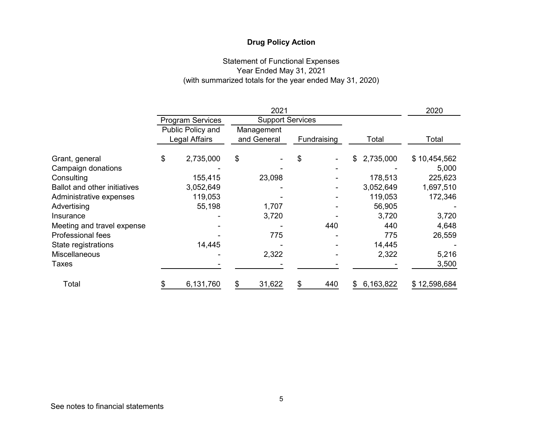# Statement of Functional Expenses Year Ended May 31, 2021 (with summarized totals for the year ended May 31, 2020)

|                                     | 2021 |                         |    |                         |  | 2020        |                 |              |
|-------------------------------------|------|-------------------------|----|-------------------------|--|-------------|-----------------|--------------|
|                                     |      | <b>Program Services</b> |    | <b>Support Services</b> |  |             |                 |              |
|                                     |      | Public Policy and       |    | Management              |  |             |                 |              |
|                                     |      | Legal Affairs           |    | and General             |  | Fundraising | Total           | Total        |
| Grant, general                      | \$   | 2,735,000               | \$ |                         |  |             | \$<br>2,735,000 | \$10,454,562 |
| Campaign donations                  |      |                         |    |                         |  |             |                 | 5,000        |
| Consulting                          |      | 155,415                 |    | 23,098                  |  |             | 178,513         | 225,623      |
| <b>Ballot and other initiatives</b> |      | 3,052,649               |    |                         |  |             | 3,052,649       | 1,697,510    |
| Administrative expenses             |      | 119,053                 |    |                         |  |             | 119,053         | 172,346      |
| Advertising                         |      | 55,198                  |    | 1,707                   |  |             | 56,905          |              |
| Insurance                           |      |                         |    | 3,720                   |  |             | 3,720           | 3,720        |
| Meeting and travel expense          |      |                         |    |                         |  | 440         | 440             | 4,648        |
| Professional fees                   |      |                         |    | 775                     |  |             | 775             | 26,559       |
| State registrations                 |      | 14,445                  |    |                         |  |             | 14,445          |              |
| <b>Miscellaneous</b>                |      |                         |    | 2,322                   |  |             | 2,322           | 5,216        |
| Taxes                               |      |                         |    |                         |  |             |                 | 3,500        |
| Total                               |      | 6,131,760               |    | 31,622                  |  | 440         | \$<br>6,163,822 | \$12,598,684 |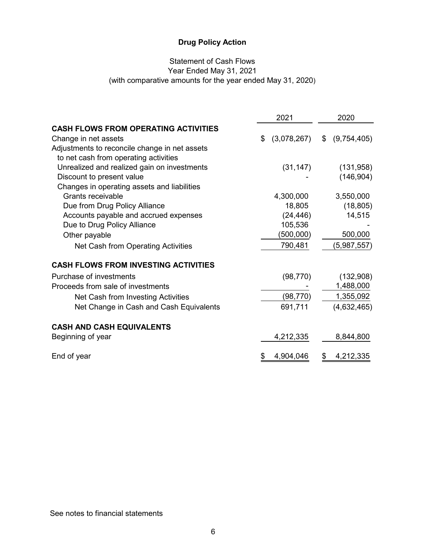# Statement of Cash Flows Year Ended May 31, 2021 (with comparative amounts for the year ended May 31, 2020)

| <b>CASH FLOWS FROM OPERATING ACTIVITIES</b><br>(3,078,267)<br>\$<br>Change in net assets<br>\$<br>Adjustments to reconcile change in net assets<br>to net cash from operating activities<br>Unrealized and realized gain on investments<br>(31, 147)<br>Discount to present value<br>Changes in operating assets and liabilities<br>Grants receivable<br>4,300,000<br>Due from Drug Policy Alliance<br>18,805<br>Accounts payable and accrued expenses<br>(24, 446)<br>105,536<br>Due to Drug Policy Alliance<br>(500,000)<br>Other payable<br>790,481<br>Net Cash from Operating Activities<br><b>CASH FLOWS FROM INVESTING ACTIVITIES</b><br>Purchase of investments<br>(98, 770)<br>Proceeds from sale of investments<br>(98, 770)<br>Net Cash from Investing Activities<br>Net Change in Cash and Cash Equivalents<br>691,711<br><b>CASH AND CASH EQUIVALENTS</b> |                   | 2021      | 2020        |
|-----------------------------------------------------------------------------------------------------------------------------------------------------------------------------------------------------------------------------------------------------------------------------------------------------------------------------------------------------------------------------------------------------------------------------------------------------------------------------------------------------------------------------------------------------------------------------------------------------------------------------------------------------------------------------------------------------------------------------------------------------------------------------------------------------------------------------------------------------------------------|-------------------|-----------|-------------|
|                                                                                                                                                                                                                                                                                                                                                                                                                                                                                                                                                                                                                                                                                                                                                                                                                                                                       |                   |           |             |
|                                                                                                                                                                                                                                                                                                                                                                                                                                                                                                                                                                                                                                                                                                                                                                                                                                                                       |                   |           | (9,754,405) |
|                                                                                                                                                                                                                                                                                                                                                                                                                                                                                                                                                                                                                                                                                                                                                                                                                                                                       |                   |           |             |
|                                                                                                                                                                                                                                                                                                                                                                                                                                                                                                                                                                                                                                                                                                                                                                                                                                                                       |                   |           |             |
|                                                                                                                                                                                                                                                                                                                                                                                                                                                                                                                                                                                                                                                                                                                                                                                                                                                                       |                   |           | (131, 958)  |
|                                                                                                                                                                                                                                                                                                                                                                                                                                                                                                                                                                                                                                                                                                                                                                                                                                                                       |                   |           | (146, 904)  |
|                                                                                                                                                                                                                                                                                                                                                                                                                                                                                                                                                                                                                                                                                                                                                                                                                                                                       |                   |           |             |
|                                                                                                                                                                                                                                                                                                                                                                                                                                                                                                                                                                                                                                                                                                                                                                                                                                                                       |                   |           | 3,550,000   |
|                                                                                                                                                                                                                                                                                                                                                                                                                                                                                                                                                                                                                                                                                                                                                                                                                                                                       |                   |           | (18, 805)   |
|                                                                                                                                                                                                                                                                                                                                                                                                                                                                                                                                                                                                                                                                                                                                                                                                                                                                       |                   |           | 14,515      |
|                                                                                                                                                                                                                                                                                                                                                                                                                                                                                                                                                                                                                                                                                                                                                                                                                                                                       |                   |           |             |
|                                                                                                                                                                                                                                                                                                                                                                                                                                                                                                                                                                                                                                                                                                                                                                                                                                                                       |                   |           | 500,000     |
|                                                                                                                                                                                                                                                                                                                                                                                                                                                                                                                                                                                                                                                                                                                                                                                                                                                                       |                   |           | (5,987,557) |
|                                                                                                                                                                                                                                                                                                                                                                                                                                                                                                                                                                                                                                                                                                                                                                                                                                                                       |                   |           |             |
|                                                                                                                                                                                                                                                                                                                                                                                                                                                                                                                                                                                                                                                                                                                                                                                                                                                                       |                   |           | (132,908)   |
|                                                                                                                                                                                                                                                                                                                                                                                                                                                                                                                                                                                                                                                                                                                                                                                                                                                                       |                   |           | 1,488,000   |
|                                                                                                                                                                                                                                                                                                                                                                                                                                                                                                                                                                                                                                                                                                                                                                                                                                                                       |                   |           | 1,355,092   |
|                                                                                                                                                                                                                                                                                                                                                                                                                                                                                                                                                                                                                                                                                                                                                                                                                                                                       |                   |           | (4,632,465) |
|                                                                                                                                                                                                                                                                                                                                                                                                                                                                                                                                                                                                                                                                                                                                                                                                                                                                       |                   |           |             |
|                                                                                                                                                                                                                                                                                                                                                                                                                                                                                                                                                                                                                                                                                                                                                                                                                                                                       | Beginning of year | 4,212,335 | 8,844,800   |
| 4,904,046<br>End of year<br>\$                                                                                                                                                                                                                                                                                                                                                                                                                                                                                                                                                                                                                                                                                                                                                                                                                                        |                   |           | 4,212,335   |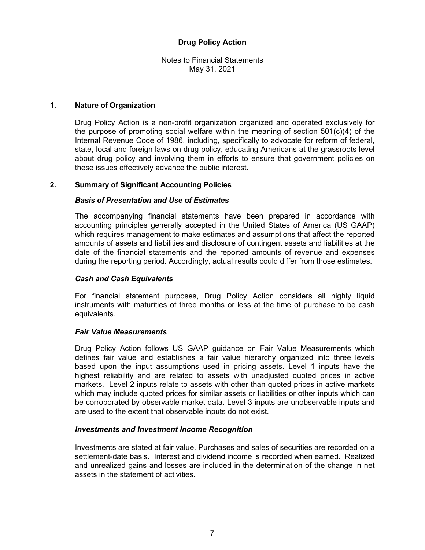Notes to Financial Statements May 31, 2021

## **1. Nature of Organization**

Drug Policy Action is a non-profit organization organized and operated exclusively for the purpose of promoting social welfare within the meaning of section  $501(c)(4)$  of the Internal Revenue Code of 1986, including, specifically to advocate for reform of federal, state, local and foreign laws on drug policy, educating Americans at the grassroots level about drug policy and involving them in efforts to ensure that government policies on these issues effectively advance the public interest.

## **2. Summary of Significant Accounting Policies**

## *Basis of Presentation and Use of Estimates*

The accompanying financial statements have been prepared in accordance with accounting principles generally accepted in the United States of America (US GAAP) which requires management to make estimates and assumptions that affect the reported amounts of assets and liabilities and disclosure of contingent assets and liabilities at the date of the financial statements and the reported amounts of revenue and expenses during the reporting period. Accordingly, actual results could differ from those estimates.

## *Cash and Cash Equivalents*

For financial statement purposes, Drug Policy Action considers all highly liquid instruments with maturities of three months or less at the time of purchase to be cash equivalents.

#### *Fair Value Measurements*

Drug Policy Action follows US GAAP guidance on Fair Value Measurements which defines fair value and establishes a fair value hierarchy organized into three levels based upon the input assumptions used in pricing assets. Level 1 inputs have the highest reliability and are related to assets with unadjusted quoted prices in active markets. Level 2 inputs relate to assets with other than quoted prices in active markets which may include quoted prices for similar assets or liabilities or other inputs which can be corroborated by observable market data. Level 3 inputs are unobservable inputs and are used to the extent that observable inputs do not exist.

#### *Investments and Investment Income Recognition*

Investments are stated at fair value. Purchases and sales of securities are recorded on a settlement-date basis. Interest and dividend income is recorded when earned. Realized and unrealized gains and losses are included in the determination of the change in net assets in the statement of activities.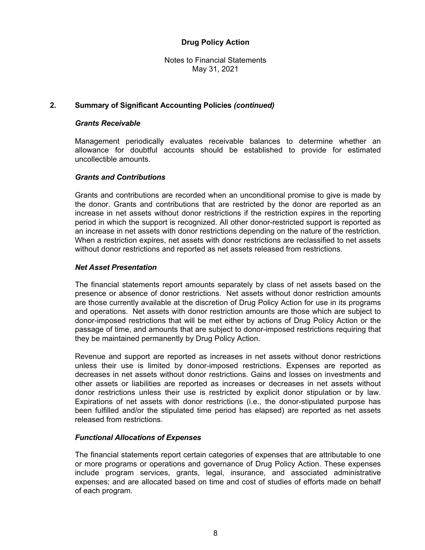Notes to Financial Statements May 31, 2021

## **2. Summary of Significant Accounting Policies** *(continued)*

#### *Grants Receivable*

Management periodically evaluates receivable balances to determine whether an allowance for doubtful accounts should be established to provide for estimated uncollectible amounts.

#### *Grants and Contributions*

Grants and contributions are recorded when an unconditional promise to give is made by the donor. Grants and contributions that are restricted by the donor are reported as an increase in net assets without donor restrictions if the restriction expires in the reporting period in which the support is recognized. All other donor-restricted support is reported as an increase in net assets with donor restrictions depending on the nature of the restriction. When a restriction expires, net assets with donor restrictions are reclassified to net assets without donor restrictions and reported as net assets released from restrictions.

#### *Net Asset Presentation*

The financial statements report amounts separately by class of net assets based on the presence or absence of donor restrictions. Net assets without donor restriction amounts are those currently available at the discretion of Drug Policy Action for use in its programs and operations. Net assets with donor restriction amounts are those which are subject to donor-imposed restrictions that will be met either by actions of Drug Policy Action or the passage of time, and amounts that are subject to donor-imposed restrictions requiring that they be maintained permanently by Drug Policy Action.

Revenue and support are reported as increases in net assets without donor restrictions unless their use is limited by donor-imposed restrictions. Expenses are reported as decreases in net assets without donor restrictions. Gains and losses on investments and other assets or liabilities are reported as increases or decreases in net assets without donor restrictions unless their use is restricted by explicit donor stipulation or by law. Expirations of net assets with donor restrictions (i.e., the donor-stipulated purpose has been fulfilled and/or the stipulated time period has elapsed) are reported as net assets released from restrictions.

#### *Functional Allocations of Expenses*

The financial statements report certain categories of expenses that are attributable to one or more programs or operations and governance of Drug Policy Action. These expenses include program services, grants, legal, insurance, and associated administrative expenses; and are allocated based on time and cost of studies of efforts made on behalf of each program.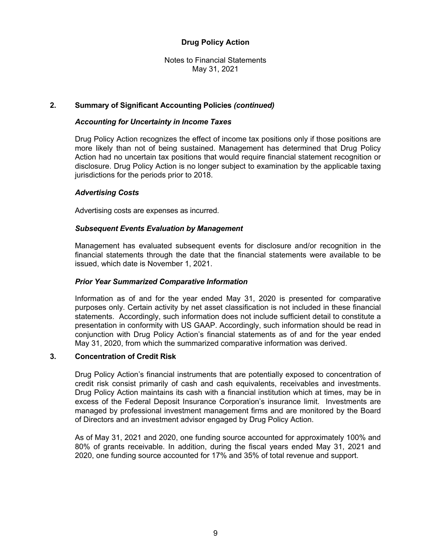Notes to Financial Statements May 31, 2021

# **2. Summary of Significant Accounting Policies** *(continued)*

## *Accounting for Uncertainty in Income Taxes*

Drug Policy Action recognizes the effect of income tax positions only if those positions are more likely than not of being sustained. Management has determined that Drug Policy Action had no uncertain tax positions that would require financial statement recognition or disclosure. Drug Policy Action is no longer subject to examination by the applicable taxing jurisdictions for the periods prior to 2018.

## *Advertising Costs*

Advertising costs are expenses as incurred.

## *Subsequent Events Evaluation by Management*

Management has evaluated subsequent events for disclosure and/or recognition in the financial statements through the date that the financial statements were available to be issued, which date is November 1, 2021.

#### *Prior Year Summarized Comparative Information*

Information as of and for the year ended May 31, 2020 is presented for comparative purposes only. Certain activity by net asset classification is not included in these financial statements. Accordingly, such information does not include sufficient detail to constitute a presentation in conformity with US GAAP. Accordingly, such information should be read in conjunction with Drug Policy Action's financial statements as of and for the year ended May 31, 2020, from which the summarized comparative information was derived.

#### **3. Concentration of Credit Risk**

Drug Policy Action's financial instruments that are potentially exposed to concentration of credit risk consist primarily of cash and cash equivalents, receivables and investments. Drug Policy Action maintains its cash with a financial institution which at times, may be in excess of the Federal Deposit Insurance Corporation's insurance limit. Investments are managed by professional investment management firms and are monitored by the Board of Directors and an investment advisor engaged by Drug Policy Action.

As of May 31, 2021 and 2020, one funding source accounted for approximately 100% and 80% of grants receivable. In addition, during the fiscal years ended May 31, 2021 and 2020, one funding source accounted for 17% and 35% of total revenue and support.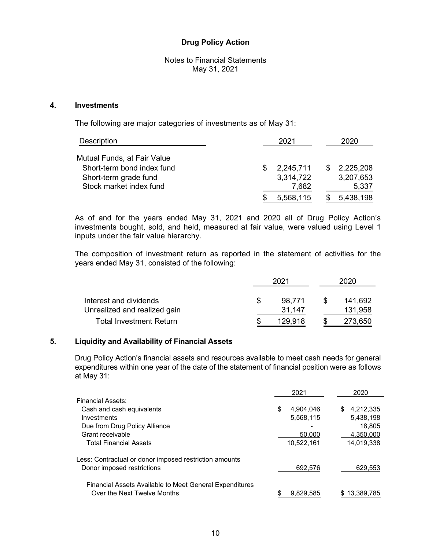Notes to Financial Statements May 31, 2021

#### **4. Investments**

The following are major categories of investments as of May 31:

| Description                 | 2021      | 2020        |
|-----------------------------|-----------|-------------|
| Mutual Funds, at Fair Value |           |             |
| Short-term bond index fund  | 2,245,711 | \$2,225,208 |
| Short-term grade fund       | 3,314,722 | 3,207,653   |
| Stock market index fund     | 7,682     | 5,337       |
|                             | 5,568,115 | 5,438,198   |

As of and for the years ended May 31, 2021 and 2020 all of Drug Policy Action's investments bought, sold, and held, measured at fair value, were valued using Level 1 inputs under the fair value hierarchy.

The composition of investment return as reported in the statement of activities for the years ended May 31, consisted of the following:

|                                | 2021    |    | 2020    |
|--------------------------------|---------|----|---------|
| Interest and dividends         | 98.771  | S. | 141.692 |
| Unrealized and realized gain   | 31.147  |    | 131,958 |
| <b>Total Investment Return</b> | 129.918 |    | 273,650 |

#### **5. Liquidity and Availability of Financial Assets**

Drug Policy Action's financial assets and resources available to meet cash needs for general expenditures within one year of the date of the statement of financial position were as follows at May 31:

|                                                                | 2021            | 2020             |
|----------------------------------------------------------------|-----------------|------------------|
| <b>Financial Assets:</b>                                       |                 |                  |
| Cash and cash equivalents                                      | \$<br>4.904.046 | 4,212,335<br>\$. |
| Investments                                                    | 5,568,115       | 5,438,198        |
| Due from Drug Policy Alliance                                  |                 | 18,805           |
| Grant receivable                                               | 50,000          | 4,350,000        |
| <b>Total Financial Assets</b>                                  | 10,522,161      | 14,019,338       |
| Less: Contractual or donor imposed restriction amounts         |                 |                  |
| Donor imposed restrictions                                     | 692,576         | 629,553          |
| <b>Financial Assets Available to Meet General Expenditures</b> |                 |                  |
| Over the Next Twelve Months                                    | 9,829,585<br>S  | \$13,389,785     |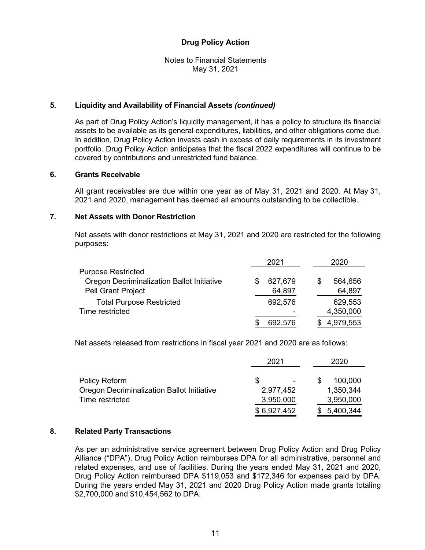Notes to Financial Statements May 31, 2021

## **5. Liquidity and Availability of Financial Assets** *(continued)*

As part of Drug Policy Action's liquidity management, it has a policy to structure its financial assets to be available as its general expenditures, liabilities, and other obligations come due. In addition, Drug Policy Action invests cash in excess of daily requirements in its investment portfolio. Drug Policy Action anticipates that the fiscal 2022 expenditures will continue to be covered by contributions and unrestricted fund balance.

#### **6. Grants Receivable**

All grant receivables are due within one year as of May 31, 2021 and 2020. At May 31, 2021 and 2020, management has deemed all amounts outstanding to be collectible.

## **7. Net Assets with Donor Restriction**

Net assets with donor restrictions at May 31, 2021 and 2020 are restricted for the following purposes:

|                                            | 2021    | 2020      |
|--------------------------------------------|---------|-----------|
| <b>Purpose Restricted</b>                  |         |           |
| Oregon Decriminalization Ballot Initiative | 627,679 | 564,656   |
| Pell Grant Project                         | 64,897  | 64,897    |
| <b>Total Purpose Restricted</b>            | 692,576 | 629,553   |
| Time restricted                            |         | 4,350,000 |
|                                            | 692,576 | 4,979,553 |

Net assets released from restrictions in fiscal year 2021 and 2020 are as follows:

|                                            | 2021        | 2020           |
|--------------------------------------------|-------------|----------------|
| Policy Reform                              | S           | 100,000<br>\$. |
| Oregon Decriminalization Ballot Initiative | 2,977,452   | 1,350,344      |
| Time restricted                            | 3,950,000   | 3,950,000      |
|                                            | \$6,927,452 | \$5,400,344    |

#### **8. Related Party Transactions**

As per an administrative service agreement between Drug Policy Action and Drug Policy Alliance ("DPA"), Drug Policy Action reimburses DPA for all administrative, personnel and related expenses, and use of facilities. During the years ended May 31, 2021 and 2020, Drug Policy Action reimbursed DPA \$119,053 and \$172,346 for expenses paid by DPA. During the years ended May 31, 2021 and 2020 Drug Policy Action made grants totaling \$2,700,000 and \$10,454,562 to DPA.